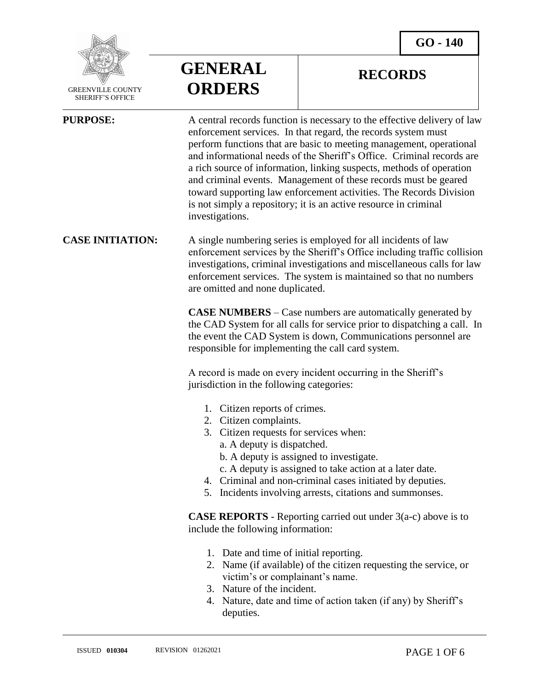

 GREENVILLE COUNTY SHERIFF'S OFFICE

 $\overline{a}$ 

**GENERAL ORDERS**

### **RECORDS**

| <b>PURPOSE:</b>         | A central records function is necessary to the effective delivery of law<br>enforcement services. In that regard, the records system must<br>perform functions that are basic to meeting management, operational<br>and informational needs of the Sheriff's Office. Criminal records are<br>a rich source of information, linking suspects, methods of operation<br>and criminal events. Management of these records must be geared<br>toward supporting law enforcement activities. The Records Division<br>is not simply a repository; it is an active resource in criminal<br>investigations. |
|-------------------------|---------------------------------------------------------------------------------------------------------------------------------------------------------------------------------------------------------------------------------------------------------------------------------------------------------------------------------------------------------------------------------------------------------------------------------------------------------------------------------------------------------------------------------------------------------------------------------------------------|
| <b>CASE INITIATION:</b> | A single numbering series is employed for all incidents of law<br>enforcement services by the Sheriff's Office including traffic collision<br>investigations, criminal investigations and miscellaneous calls for law<br>enforcement services. The system is maintained so that no numbers<br>are omitted and none duplicated.                                                                                                                                                                                                                                                                    |
|                         | <b>CASE NUMBERS</b> – Case numbers are automatically generated by<br>the CAD System for all calls for service prior to dispatching a call. In<br>the event the CAD System is down, Communications personnel are<br>responsible for implementing the call card system.                                                                                                                                                                                                                                                                                                                             |
|                         | A record is made on every incident occurring in the Sheriff's<br>jurisdiction in the following categories:                                                                                                                                                                                                                                                                                                                                                                                                                                                                                        |
|                         | 1. Citizen reports of crimes.<br>2. Citizen complaints.<br>3. Citizen requests for services when:<br>a. A deputy is dispatched.<br>b. A deputy is assigned to investigate.<br>c. A deputy is assigned to take action at a later date.<br>4. Criminal and non-criminal cases initiated by deputies.<br>5. Incidents involving arrests, citations and summonses.                                                                                                                                                                                                                                    |
|                         | <b>CASE REPORTS</b> - Reporting carried out under $3(a-c)$ above is to<br>include the following information:                                                                                                                                                                                                                                                                                                                                                                                                                                                                                      |
|                         | 1. Date and time of initial reporting.<br>2. Name (if available) of the citizen requesting the service, or<br>victim's or complainant's name.<br>3. Nature of the incident.<br>4. Nature, date and time of action taken (if any) by Sheriff's<br>deputies.                                                                                                                                                                                                                                                                                                                                        |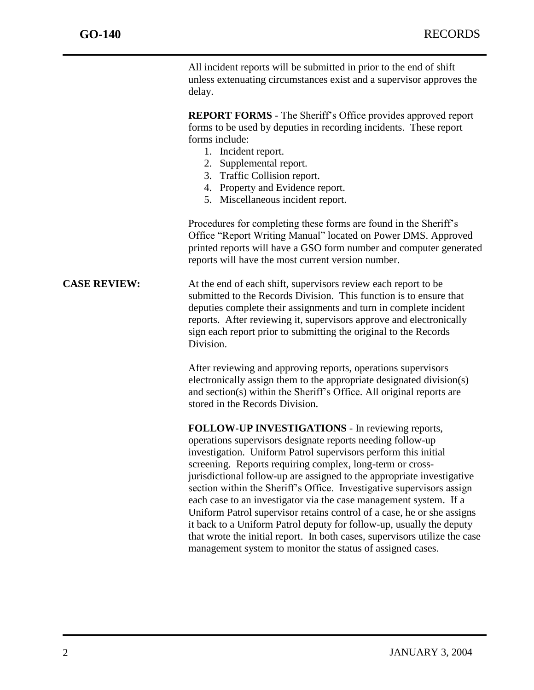All incident reports will be submitted in prior to the end of shift unless extenuating circumstances exist and a supervisor approves the delay.

**REPORT FORMS** - The Sheriff's Office provides approved report forms to be used by deputies in recording incidents. These report forms include:

- 1. Incident report.
- 2. Supplemental report.
- 3. Traffic Collision report.
- 4. Property and Evidence report.
- 5. Miscellaneous incident report.

Procedures for completing these forms are found in the Sheriff's Office "Report Writing Manual" located on Power DMS. Approved printed reports will have a GSO form number and computer generated reports will have the most current version number.

**CASE REVIEW:** At the end of each shift, supervisors review each report to be submitted to the Records Division. This function is to ensure that deputies complete their assignments and turn in complete incident reports. After reviewing it, supervisors approve and electronically sign each report prior to submitting the original to the Records Division.

> After reviewing and approving reports, operations supervisors electronically assign them to the appropriate designated division(s) and section(s) within the Sheriff's Office. All original reports are stored in the Records Division.

**FOLLOW-UP INVESTIGATIONS** - In reviewing reports, operations supervisors designate reports needing follow-up investigation. Uniform Patrol supervisors perform this initial screening. Reports requiring complex, long-term or crossjurisdictional follow-up are assigned to the appropriate investigative section within the Sheriff's Office. Investigative supervisors assign each case to an investigator via the case management system. If a Uniform Patrol supervisor retains control of a case, he or she assigns it back to a Uniform Patrol deputy for follow-up, usually the deputy that wrote the initial report. In both cases, supervisors utilize the case management system to monitor the status of assigned cases.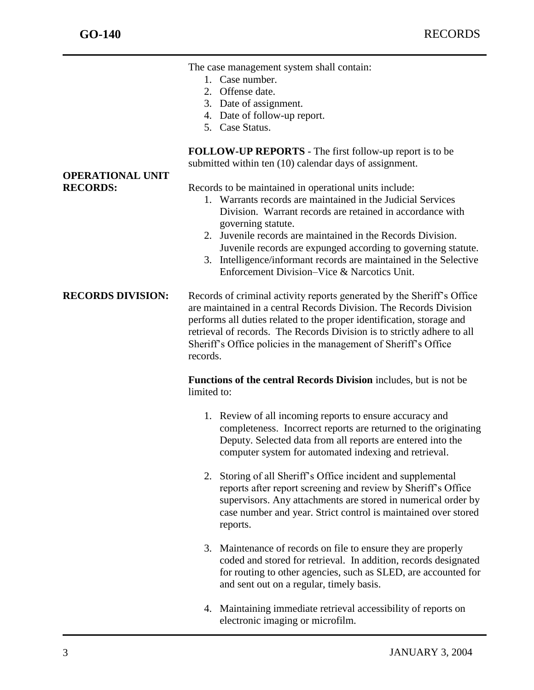The case management system shall contain:

- 1. Case number.
- 2. Offense date.
- 3. Date of assignment.
- 4. Date of follow-up report.
- 5. Case Status.

**FOLLOW-UP REPORTS** - The first follow-up report is to be submitted within ten (10) calendar days of assignment.

**RECORDS:** Records to be maintained in operational units include:

- 1. Warrants records are maintained in the Judicial Services Division. Warrant records are retained in accordance with governing statute.
- 2. Juvenile records are maintained in the Records Division. Juvenile records are expunged according to governing statute.
- 3. Intelligence/informant records are maintained in the Selective Enforcement Division–Vice & Narcotics Unit.

**RECORDS DIVISION:** Records of criminal activity reports generated by the Sheriff's Office are maintained in a central Records Division. The Records Division performs all duties related to the proper identification, storage and retrieval of records. The Records Division is to strictly adhere to all Sheriff's Office policies in the management of Sheriff's Office records.

> **Functions of the central Records Division** includes, but is not be limited to:

- 1. Review of all incoming reports to ensure accuracy and completeness. Incorrect reports are returned to the originating Deputy. Selected data from all reports are entered into the computer system for automated indexing and retrieval.
- 2. Storing of all Sheriff's Office incident and supplemental reports after report screening and review by Sheriff's Office supervisors. Any attachments are stored in numerical order by case number and year. Strict control is maintained over stored reports.
- 3. Maintenance of records on file to ensure they are properly coded and stored for retrieval. In addition, records designated for routing to other agencies, such as SLED, are accounted for and sent out on a regular, timely basis.
- 4. Maintaining immediate retrieval accessibility of reports on electronic imaging or microfilm.

# **OPERATIONAL UNIT**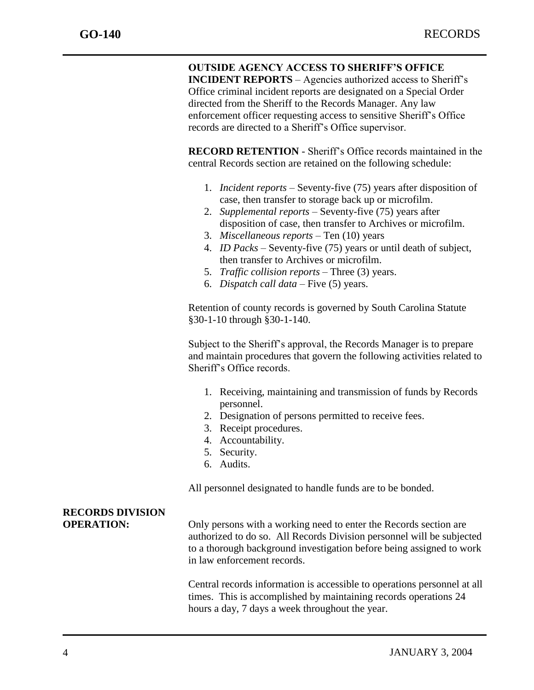#### **OUTSIDE AGENCY ACCESS TO SHERIFF'S OFFICE**

**INCIDENT REPORTS** – Agencies authorized access to Sheriff's Office criminal incident reports are designated on a Special Order directed from the Sheriff to the Records Manager. Any law enforcement officer requesting access to sensitive Sheriff's Office records are directed to a Sheriff's Office supervisor.

**RECORD RETENTION** - Sheriff's Office records maintained in the central Records section are retained on the following schedule:

- 1. *Incident reports* Seventy-five (75) years after disposition of case, then transfer to storage back up or microfilm.
- 2. *Supplemental reports* Seventy-five (75) years after disposition of case, then transfer to Archives or microfilm.
- 3. *Miscellaneous reports* Ten (10) years
- 4. *ID Packs* Seventy-five (75) years or until death of subject, then transfer to Archives or microfilm.
- 5. *Traffic collision reports* Three (3) years.
- 6. *Dispatch call data* Five (5) years.

Retention of county records is governed by South Carolina Statute §30-1-10 through §30-1-140.

Subject to the Sheriff's approval, the Records Manager is to prepare and maintain procedures that govern the following activities related to Sheriff's Office records.

- 1. Receiving, maintaining and transmission of funds by Records personnel.
- 2. Designation of persons permitted to receive fees.
- 3. Receipt procedures.
- 4. Accountability.
- 5. Security.
- 6. Audits.

All personnel designated to handle funds are to be bonded.

### **RECORDS DIVISION**

**OPERATION:** Only persons with a working need to enter the Records section are authorized to do so. All Records Division personnel will be subjected to a thorough background investigation before being assigned to work in law enforcement records.

> Central records information is accessible to operations personnel at all times. This is accomplished by maintaining records operations 24 hours a day, 7 days a week throughout the year.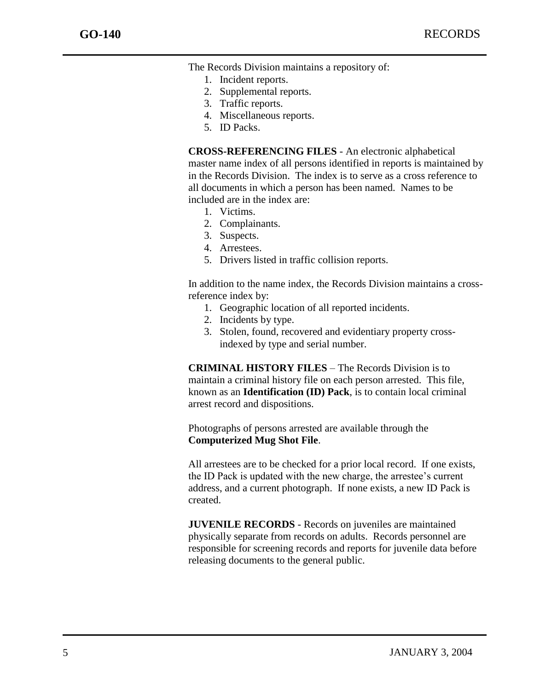The Records Division maintains a repository of:

- 1. Incident reports.
- 2. Supplemental reports.
- 3. Traffic reports.
- 4. Miscellaneous reports.
- 5. ID Packs.

**CROSS-REFERENCING FILES** - An electronic alphabetical master name index of all persons identified in reports is maintained by in the Records Division. The index is to serve as a cross reference to all documents in which a person has been named. Names to be included are in the index are:

- 1. Victims.
- 2. Complainants.
- 3. Suspects.
- 4. Arrestees.
- 5. Drivers listed in traffic collision reports.

In addition to the name index, the Records Division maintains a crossreference index by:

- 1. Geographic location of all reported incidents.
- 2. Incidents by type.
- 3. Stolen, found, recovered and evidentiary property crossindexed by type and serial number.

**CRIMINAL HISTORY FILES** – The Records Division is to maintain a criminal history file on each person arrested. This file, known as an **Identification (ID) Pack**, is to contain local criminal arrest record and dispositions.

Photographs of persons arrested are available through the **Computerized Mug Shot File**.

All arrestees are to be checked for a prior local record. If one exists, the ID Pack is updated with the new charge, the arrestee's current address, and a current photograph. If none exists, a new ID Pack is created.

**JUVENILE RECORDS** - Records on juveniles are maintained physically separate from records on adults. Records personnel are responsible for screening records and reports for juvenile data before releasing documents to the general public.